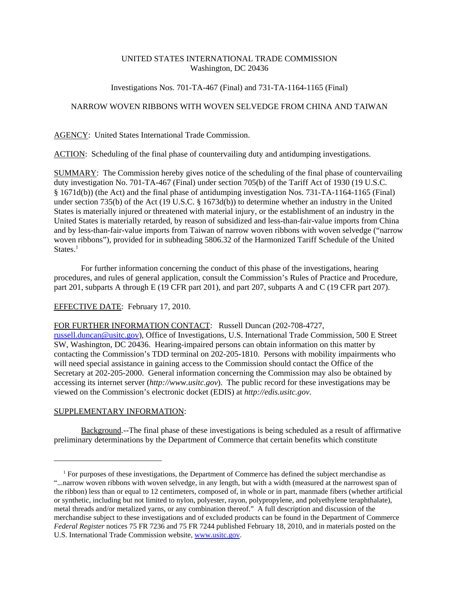## UNITED STATES INTERNATIONAL TRADE COMMISSION Washington, DC 20436

## Investigations Nos. 701-TA-467 (Final) and 731-TA-1164-1165 (Final)

# NARROW WOVEN RIBBONS WITH WOVEN SELVEDGE FROM CHINA AND TAIWAN

AGENCY: United States International Trade Commission.

ACTION: Scheduling of the final phase of countervailing duty and antidumping investigations.

SUMMARY: The Commission hereby gives notice of the scheduling of the final phase of countervailing duty investigation No. 701-TA-467 (Final) under section 705(b) of the Tariff Act of 1930 (19 U.S.C. § 1671d(b)) (the Act) and the final phase of antidumping investigation Nos. 731-TA-1164-1165 (Final) under section 735(b) of the Act (19 U.S.C. § 1673d(b)) to determine whether an industry in the United States is materially injured or threatened with material injury, or the establishment of an industry in the United States is materially retarded, by reason of subsidized and less-than-fair-value imports from China and by less-than-fair-value imports from Taiwan of narrow woven ribbons with woven selvedge ("narrow woven ribbons"), provided for in subheading 5806.32 of the Harmonized Tariff Schedule of the United States. $<sup>1</sup>$ </sup>

For further information concerning the conduct of this phase of the investigations, hearing procedures, and rules of general application, consult the Commission's Rules of Practice and Procedure, part 201, subparts A through E (19 CFR part 201), and part 207, subparts A and C (19 CFR part 207).

## EFFECTIVE DATE: February 17, 2010.

FOR FURTHER INFORMATION CONTACT: Russell Duncan (202-708-4727,

russell.duncan@usitc.gov), Office of Investigations, U.S. International Trade Commission, 500 E Street SW, Washington, DC 20436. Hearing-impaired persons can obtain information on this matter by contacting the Commission's TDD terminal on 202-205-1810. Persons with mobility impairments who will need special assistance in gaining access to the Commission should contact the Office of the Secretary at 202-205-2000. General information concerning the Commission may also be obtained by accessing its internet server (*http://www.usitc.gov*). The public record for these investigations may be viewed on the Commission's electronic docket (EDIS) at *http://edis.usitc.gov*.

#### SUPPLEMENTARY INFORMATION:

Background.--The final phase of these investigations is being scheduled as a result of affirmative preliminary determinations by the Department of Commerce that certain benefits which constitute

 <sup>1</sup> For purposes of these investigations, the Department of Commerce has defined the subject merchandise as "...narrow woven ribbons with woven selvedge, in any length, but with a width (measured at the narrowest span of the ribbon) less than or equal to 12 centimeters, composed of, in whole or in part, manmade fibers (whether artificial or synthetic, including but not limited to nylon, polyester, rayon, polypropylene, and polyethylene teraphthalate), metal threads and/or metalized yarns, or any combination thereof." A full description and discussion of the merchandise subject to these investigations and of excluded products can be found in the Department of Commerce *Federal Register* notices 75 FR 7236 and 75 FR 7244 published February 18, 2010, and in materials posted on the U.S. International Trade Commission website, www.usitc.gov.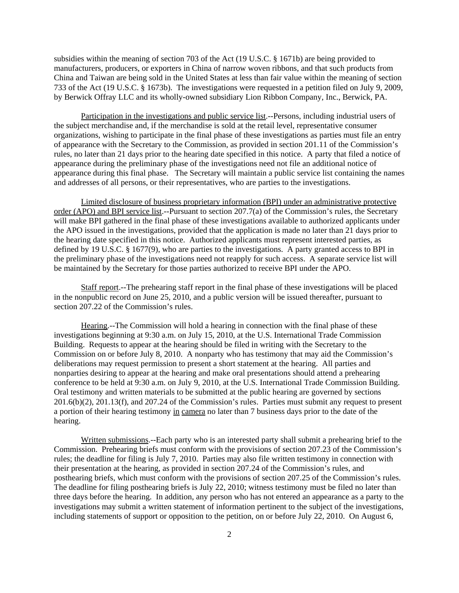subsidies within the meaning of section 703 of the Act (19 U.S.C. § 1671b) are being provided to manufacturers, producers, or exporters in China of narrow woven ribbons, and that such products from China and Taiwan are being sold in the United States at less than fair value within the meaning of section 733 of the Act (19 U.S.C. § 1673b). The investigations were requested in a petition filed on July 9, 2009, by Berwick Offray LLC and its wholly-owned subsidiary Lion Ribbon Company, Inc., Berwick, PA.

Participation in the investigations and public service list.--Persons, including industrial users of the subject merchandise and, if the merchandise is sold at the retail level, representative consumer organizations, wishing to participate in the final phase of these investigations as parties must file an entry of appearance with the Secretary to the Commission, as provided in section 201.11 of the Commission's rules, no later than 21 days prior to the hearing date specified in this notice. A party that filed a notice of appearance during the preliminary phase of the investigations need not file an additional notice of appearance during this final phase. The Secretary will maintain a public service list containing the names and addresses of all persons, or their representatives, who are parties to the investigations.

Limited disclosure of business proprietary information (BPI) under an administrative protective order (APO) and BPI service list.--Pursuant to section 207.7(a) of the Commission's rules, the Secretary will make BPI gathered in the final phase of these investigations available to authorized applicants under the APO issued in the investigations, provided that the application is made no later than 21 days prior to the hearing date specified in this notice. Authorized applicants must represent interested parties, as defined by 19 U.S.C. § 1677(9), who are parties to the investigations. A party granted access to BPI in the preliminary phase of the investigations need not reapply for such access. A separate service list will be maintained by the Secretary for those parties authorized to receive BPI under the APO.

Staff report.--The prehearing staff report in the final phase of these investigations will be placed in the nonpublic record on June 25, 2010, and a public version will be issued thereafter, pursuant to section 207.22 of the Commission's rules.

Hearing.--The Commission will hold a hearing in connection with the final phase of these investigations beginning at 9:30 a.m. on July 15, 2010, at the U.S. International Trade Commission Building. Requests to appear at the hearing should be filed in writing with the Secretary to the Commission on or before July 8, 2010. A nonparty who has testimony that may aid the Commission's deliberations may request permission to present a short statement at the hearing. All parties and nonparties desiring to appear at the hearing and make oral presentations should attend a prehearing conference to be held at 9:30 a.m. on July 9, 2010, at the U.S. International Trade Commission Building. Oral testimony and written materials to be submitted at the public hearing are governed by sections 201.6(b)(2), 201.13(f), and 207.24 of the Commission's rules. Parties must submit any request to present a portion of their hearing testimony in camera no later than 7 business days prior to the date of the hearing.

Written submissions.--Each party who is an interested party shall submit a prehearing brief to the Commission. Prehearing briefs must conform with the provisions of section 207.23 of the Commission's rules; the deadline for filing is July 7, 2010. Parties may also file written testimony in connection with their presentation at the hearing, as provided in section 207.24 of the Commission's rules, and posthearing briefs, which must conform with the provisions of section 207.25 of the Commission's rules. The deadline for filing posthearing briefs is July 22, 2010; witness testimony must be filed no later than three days before the hearing. In addition, any person who has not entered an appearance as a party to the investigations may submit a written statement of information pertinent to the subject of the investigations, including statements of support or opposition to the petition, on or before July 22, 2010. On August 6,